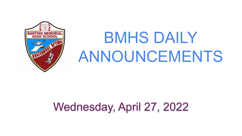

# BMHS DAILY ANNOUNCEMENTS

# Wednesday, April 27, 2022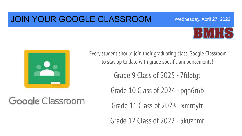### JOIN YOUR GOOGLE CLASSROOM





Google Classroom

Every student should join their graduating class' Google Classroom to stay up to date with grade specific announcements!

Grade 9 Class of 2025 - 7fdotgt

Grade 10 Class of 2024 - pqn6r6b

Grade 11 Class of 2023 - xmntytr

Grade 12 Class of 2022 - 5kuzhmr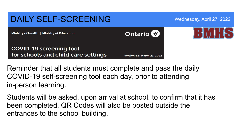

Reminder that all students must complete and pass the daily COVID-19 self-screening tool each day, prior to attending in-person learning.

Students will be asked, upon arrival at school, to confirm that it has been completed. QR Codes will also be posted outside the entrances to the school building.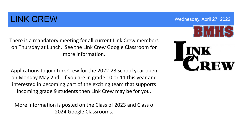### LINK CREW Wednesday, April 27, 2022

There is a mandatory meeting for all current Link Crew members on Thursday at Lunch. See the Link Crew Google Classroom for more information.

Applications to join Link Crew for the 2022-23 school year open on Monday May 2nd. If you are in grade 10 or 11 this year and interested in becoming part of the exciting team that supports incoming grade 9 students then Link Crew may be for you.

 More information is posted on the Class of 2023 and Class of 2024 Google Classrooms.

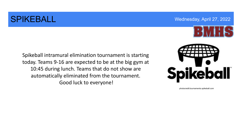### SPIKEBALL Wednesday, April 27, 2022



Spikeball intramural elimination tournament is starting today. Teams 9-16 are expected to be at the big gym at 10:45 during lunch. Teams that do not show are automatically eliminated from the tournament. Good luck to everyone!



photocredit:tournaments.spikeball.com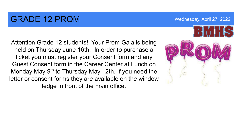### GRADE 12 PROM WEDGE AND Mednesday, April 27, 2022

Attention Grade 12 students! Your Prom Gala is being held on Thursday June 16th. In order to purchase a ticket you must register your Consent form and any Guest Consent form in the Career Center at Lunch on Monday May 9<sup>th</sup> to Thursday May 12th. If you need the letter or consent forms they are available on the window ledge in front of the main office.

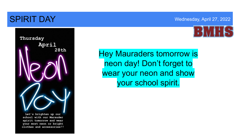### **SPIRIT DAY** Wednesday, April 27, 2022







Let's brighten up our school with our Marauder spirit tomorrow and wear your most neon or bright clothes and accessories!!

 your school spirit.Hey Mauraders tomorrow is neon day! Don't forget to wear your neon and show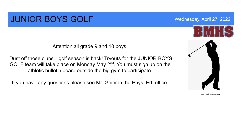### **JUNIOR BOYS GOLF** Wednesday, April 27, 2022

Attention all grade 9 and 10 boys!

Dust off those clubs…golf season is back! Tryouts for the JUNIOR BOYS GOLF team will take place on Monday May  $2<sup>nd</sup>$ . You must sign up on the athletic bulletin board outside the big gym to participate.

If you have any questions please see Mr. Geier in the Phys. Ed. office.



photocredit:pinterest.com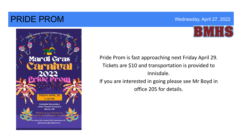### **PRIDE PROM** Wednesday, April 27, 2022





 office 205 for details.Pride Prom is fast approaching next Friday April 29. Tickets are \$10 and transportation is provided to Innisdale. If you are interested in going please see Mr Boyd in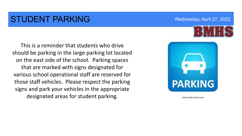### STUDENT PARKING WEDGENER Wednesday, April 27, 2022

This is a reminder that students who drive should be parking in the large parking lot located on the east side of the school. Parking spaces that are marked with signs designated for various school operational staff are reserved for those staff vehicles. Please respect the parking signs and park your vehicles in the appropriate designated areas for student parking.



photocredit:cliparts.zone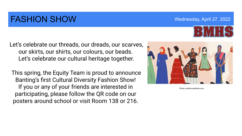### FASHION SHOW WEDGE THE MOVIE WEDGE WAS April 27, 2022

Let's celebrate our threads, our dreads, our scarves, our skirts, our shirts, our colours, our beads. Let's celebrate our cultural heritage together.

 This spring, the Equity Team is proud to announce Banting's first Cultural Diversity Fashion Show! If you or any of your friends are interested in participating, please follow the QR code on our posters around school or visit Room 138 or 216.



Photo credit:eventbrite.com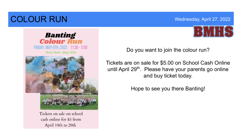## **COLOUR RUN** Wednesday, April 27, 2022



**Banting<br>Colour Run** FRIDAY, MAY 6TH, 2022 11:30 - 2:00 **Rain Date: May 10th** 

> Tickets on sale on school cash online for \$5 from April 19th to 29th

Do you want to join the colour run?

Tickets are on sale for \$5.00 on School Cash Online until April 29<sup>th</sup>. Please have your parents go online and buy ticket today.

Hope to see you there Banting!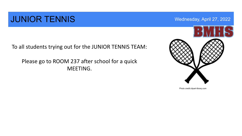### **JUNIOR TENNIS** Wednesday, April 27, 2022

To all students trying out for the JUNIOR TENNIS TEAM:

Please go to ROOM 237 after school for a quick MEETING.



Photo credit:clipart-library.com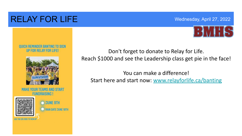### RELAY FOR LIFE Wednesday, April 27, 2022



### **DUICK REMINDER BANTING TO SIGN UP FOR RELAY FOR LIFE!**



**MAKE YOUR TEAMS AND START FUNDRAISING!** 





Don't forget to donate to Relay for Life. Reach \$1000 and see the Leadership class get pie in the face!

You can make a difference! Start here and start now: [www.relayforlife.ca/banting](http://www.relayforlife.ca/banting)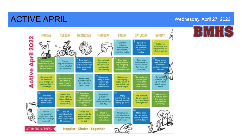### ACTIVE APRIL Wednesday, April 27, 2022